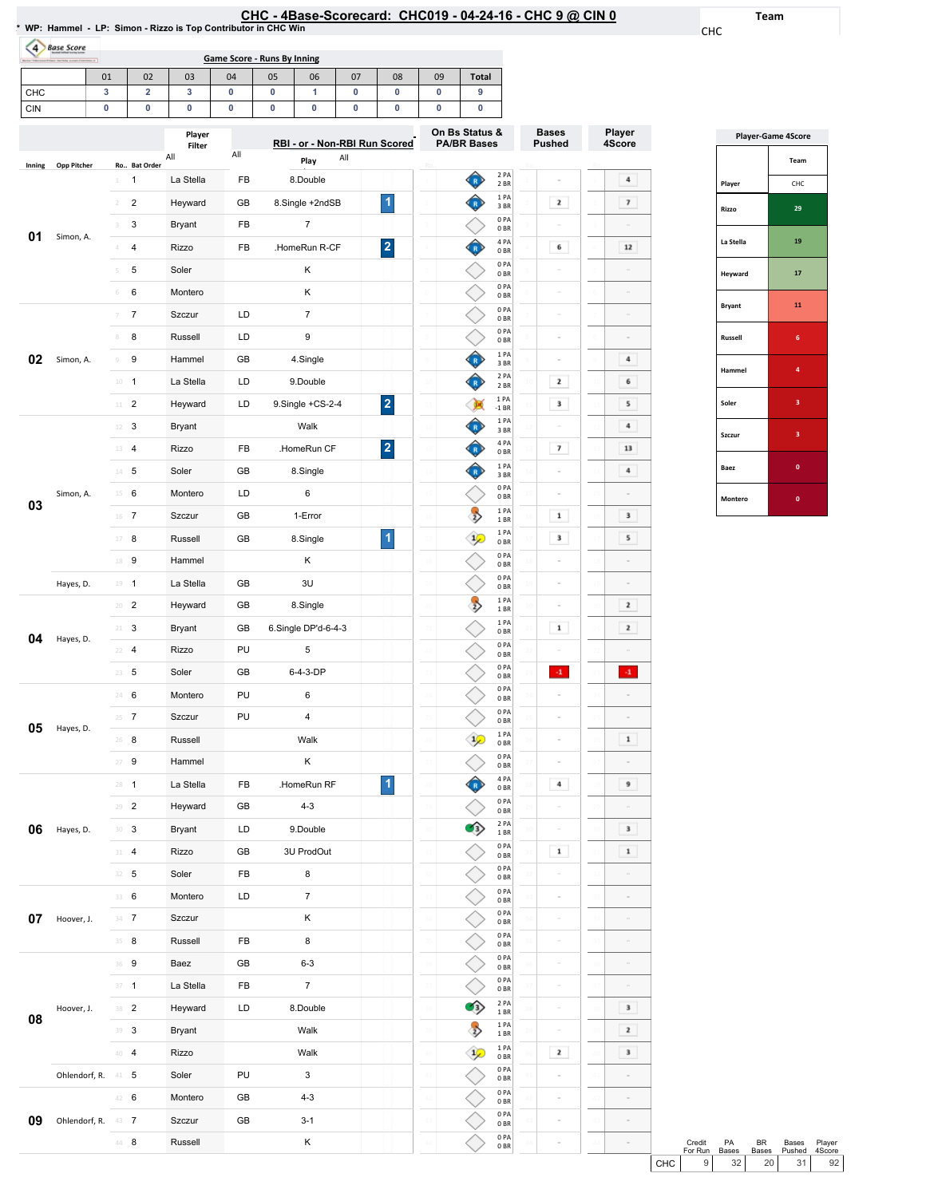|--|

1PA 0BR 0PA 0BR 0PA 0BR 0PA 0BR 0PA 0BR

 $\hat{P}$ 

 $\Diamond$ 

 $\Diamond$  $\Diamond$ 

◇

 $\boxed{\phantom{1}2}$ 

 $\sim$ 

 $\sim$ 

 $\sim$ 

Team

CHC

Player 4Score

 $\boxed{4}$  $\overline{\mathbf{z}}$ 

> $\bf 12$  $\sim$  $\sim$  $\sim$

 $\begin{array}{|c|} \hline \end{array}$  4  $6<sub>1</sub>$  $5$  $\begin{array}{|c|} \hline \end{array}$  4  $\boxed{\phantom{000}13}$  $\begin{array}{|c|} \hline \end{array}$  4

 $\begin{array}{|c|c|} \hline \textbf{3} & \textbf{1} \\ \hline \end{array}$  $5<sub>1</sub>$  $\sim$ 

 $\overline{\phantom{a}2}$  $\boxed{2}$  $\sim$  $\langle 4 \rangle$  $\sim$  $\sim$  $\blacksquare$ 

 $\overline{9}$  $\sim$  $\begin{array}{|c|} \hline \textbf{3} \end{array}$  $\boxed{\phantom{1}1}$  $\sim$  $\sim$ 

 $\sim$  $\sim$ 

 $\overline{\phantom{a}3}$ 

 $\boxed{2}$ 

 $\mathbf{3}$ 

 $\sim$ 

 $\sim$ 

 $\sim$ 

| WP: Hammel - LP: Simon - Rizzo is Top Contributor in CHC Win |                |                         |                         |     |                                    |                               |     |                         |                |                                      |                         | CHC - 4Base-Scorecard: CHC019 - 04-24-16 - CHC 9 @ CIN 0 |                                                                                                                                                                                                                                                                                                                                                                                                                         |
|--------------------------------------------------------------|----------------|-------------------------|-------------------------|-----|------------------------------------|-------------------------------|-----|-------------------------|----------------|--------------------------------------|-------------------------|----------------------------------------------------------|-------------------------------------------------------------------------------------------------------------------------------------------------------------------------------------------------------------------------------------------------------------------------------------------------------------------------------------------------------------------------------------------------------------------------|
| $\overline{4}$<br><b>Base Score</b>                          |                |                         |                         |     | <b>Game Score - Runs By Inning</b> |                               |     |                         |                |                                      |                         |                                                          |                                                                                                                                                                                                                                                                                                                                                                                                                         |
|                                                              | 01             | 02                      | 03                      | 04  | 05                                 | 06                            | 07  | 08                      | 09             | <b>Total</b>                         |                         |                                                          |                                                                                                                                                                                                                                                                                                                                                                                                                         |
| CHC                                                          | 3              | $\overline{\mathbf{2}}$ | 3                       | 0   | 0                                  | 1                             | 0   | 0                       | 0              | 9                                    |                         |                                                          |                                                                                                                                                                                                                                                                                                                                                                                                                         |
| <b>CIN</b>                                                   | 0              | 0                       | 0                       | 0   | 0                                  | 0                             | 0   | 0                       | 0              | 0                                    |                         |                                                          |                                                                                                                                                                                                                                                                                                                                                                                                                         |
|                                                              |                |                         | Player<br>Filter<br>All | All |                                    | RBI - or - Non-RBI Run Scored | All |                         |                | On Bs Status &<br><b>PA/BR Bases</b> |                         | <b>Bases</b><br><b>Pushed</b>                            | Player<br>4Score                                                                                                                                                                                                                                                                                                                                                                                                        |
| <b>Opp Pitcher</b><br>Inning                                 |                | Ro Bat Order            |                         |     |                                    | Play                          |     |                         |                |                                      | 2 PA                    |                                                          |                                                                                                                                                                                                                                                                                                                                                                                                                         |
|                                                              | 1              | 1                       | La Stella               | FB  |                                    | 8.Double                      |     |                         |                | $\left[ \mathbf{R}\right]$           | 2 BR<br>1 PA            |                                                          | 4                                                                                                                                                                                                                                                                                                                                                                                                                       |
|                                                              |                | 2                       | Heyward                 | GВ  |                                    | 8.Single +2ndSB               |     | $\blacktriangleleft$    |                | $\mathbf R$                          | 3BR<br>0PA              | 2                                                        | $\overline{\imath}$                                                                                                                                                                                                                                                                                                                                                                                                     |
| 01<br>Simon, A.                                              | 3              | 3                       | Bryant                  | FB  |                                    | $\overline{7}$                |     |                         |                |                                      | 0 <sub>BR</sub><br>4PA  |                                                          |                                                                                                                                                                                                                                                                                                                                                                                                                         |
|                                                              | 4              | 4                       | Rizzo                   | FB  |                                    | HomeRun R-CF                  |     | $\overline{\mathbf{2}}$ |                |                                      | 0 <sub>BR</sub><br>0PA  | 6                                                        | $12$                                                                                                                                                                                                                                                                                                                                                                                                                    |
|                                                              | 5              | 5                       | Soler                   |     |                                    | κ                             |     |                         |                |                                      | 0 <sub>BR</sub><br>0PA  | $\equiv$                                                 | $\equiv$                                                                                                                                                                                                                                                                                                                                                                                                                |
|                                                              | 6              | 6                       | Montero                 |     |                                    | κ                             |     |                         |                |                                      | 0 <sub>BR</sub><br>0PA  | $\sim$                                                   |                                                                                                                                                                                                                                                                                                                                                                                                                         |
|                                                              | 7              | $\overline{7}$          | Szczur                  | LD  |                                    | 7                             |     |                         |                |                                      | 0 <sub>BR</sub><br>0PA  | $\sim$                                                   |                                                                                                                                                                                                                                                                                                                                                                                                                         |
|                                                              | 8              | 8                       | Russell                 | LD  |                                    | 9                             |     |                         |                |                                      | 0 <sub>BR</sub>         |                                                          |                                                                                                                                                                                                                                                                                                                                                                                                                         |
| 02<br>Simon, A.                                              | $\circledcirc$ | 9                       | Hammel                  | GВ  |                                    | 4.Single                      |     |                         |                | R                                    | 1PA<br>3 BR             |                                                          | 4                                                                                                                                                                                                                                                                                                                                                                                                                       |
|                                                              | $10\,$         | $\overline{1}$          | La Stella               | LD  |                                    | 9.Double                      |     |                         | $\mathfrak{U}$ |                                      | 2 PA<br>2 BR            | 2<br>10                                                  | 6                                                                                                                                                                                                                                                                                                                                                                                                                       |
|                                                              | $11\,$         | 2                       | Heyward                 | LD  |                                    | $9.$ Single +CS-2-4           |     | $\overline{\mathbf{2}}$ |                | <b>OK</b>                            | 1 PA<br>$-1$ BR         | 3                                                        | 5                                                                                                                                                                                                                                                                                                                                                                                                                       |
|                                                              | 12             | 3                       | Bryant                  |     |                                    | Walk                          |     |                         |                | $\mathbf R$                          | 1PA<br>3 BR             | 12                                                       | 4                                                                                                                                                                                                                                                                                                                                                                                                                       |
|                                                              | 13             | $\overline{4}$          | Rizzo                   | FB  |                                    | .HomeRun CF                   |     | $\overline{\mathbf{2}}$ |                |                                      | 4 PA<br>0BR             | 7<br>13                                                  | 13                                                                                                                                                                                                                                                                                                                                                                                                                      |
|                                                              | $14 -$         | 5                       | Soler                   | GВ  |                                    | 8.Single                      |     |                         |                | $\bullet$                            | 1PA<br>3 BR             | 14                                                       | 4                                                                                                                                                                                                                                                                                                                                                                                                                       |
| Simon, A.                                                    | 15             | 6                       | Montero                 | LD  |                                    | 6                             |     |                         |                |                                      | 0PA<br>0BR              | 15                                                       |                                                                                                                                                                                                                                                                                                                                                                                                                         |
| 03                                                           | 16             | 7                       | Szczur                  | GВ  |                                    | 1-Error                       |     |                         |                | $\rightarrow$                        | 1PA<br>1 BR             | $\mathbf 1$<br>16                                        | 3                                                                                                                                                                                                                                                                                                                                                                                                                       |
|                                                              | 17             | 8                       | Russell                 | GВ  |                                    | 8.Single                      |     | $\blacktriangleleft$    |                | $\frac{1}{2}$                        | 1 PA<br>0 <sub>BR</sub> | 3                                                        | 5                                                                                                                                                                                                                                                                                                                                                                                                                       |
|                                                              | 18             | 9                       | Hammel                  |     |                                    | Κ                             |     |                         |                |                                      | 0PA<br>0BR              |                                                          |                                                                                                                                                                                                                                                                                                                                                                                                                         |
| Hayes, D.                                                    |                | $19 - 1$                | La Stella               | GВ  |                                    | 3U                            |     |                         |                |                                      | 0PA<br>0BR              | 19<br>$\sim$                                             |                                                                                                                                                                                                                                                                                                                                                                                                                         |
|                                                              | 20             | $\overline{c}$          | Heyward                 | GB  |                                    | 8.Single                      |     |                         |                | $\overline{2}$                       | 1 PA<br>1 BR            | $\sim$                                                   | 2                                                                                                                                                                                                                                                                                                                                                                                                                       |
|                                                              | 21             | 3                       | Bryant                  | GВ  |                                    | 6.Single DP'd-6-4-3           |     |                         |                |                                      | 1PA<br>0BR              | $\mathbf 1$                                              | $\mathbf{2}% =\mathbf{2}+\mathbf{2}+\mathbf{3}+\mathbf{5}+\mathbf{5}+\mathbf{5}+\mathbf{6}+\mathbf{6}+\mathbf{5}+\mathbf{6}+\mathbf{6}+\mathbf{5}+\mathbf{5}+\mathbf{6}+\mathbf{6}+\mathbf{5}+\mathbf{6}+\mathbf{5}+\mathbf{6}+\mathbf{6}+\mathbf{6}+\mathbf{6}+\mathbf{6}+\mathbf{5}+\mathbf{6}+\mathbf{6}+\mathbf{6}+\mathbf{6}+\mathbf{6}+\mathbf{6}+\mathbf{6}+\mathbf{6}+\mathbf{6}+\mathbf{6}+\mathbf{6}+\mathbf$ |
| 04<br>Hayes, D.                                              |                | 4                       | Rizzo                   | PU  |                                    | 5                             |     |                         |                |                                      | 0PA<br>0 <sub>BR</sub>  |                                                          |                                                                                                                                                                                                                                                                                                                                                                                                                         |
|                                                              |                | $23 \t 5$               | Soler                   | GB  |                                    | 6-4-3-DP                      |     |                         |                |                                      | 0PA<br>0 <sub>BR</sub>  | $\cdot 1$                                                | $\mathbf{A}$                                                                                                                                                                                                                                                                                                                                                                                                            |
|                                                              | 24             | 6                       | Montero                 | PU  |                                    | 6                             |     |                         | 24             |                                      | 0PA<br>0B               | $\overline{2}$                                           |                                                                                                                                                                                                                                                                                                                                                                                                                         |
|                                                              |                | $25 - 7$                | Szczur                  | PU  |                                    | 4                             |     |                         | 2 <sup>1</sup> |                                      | 0 PA                    | 25                                                       |                                                                                                                                                                                                                                                                                                                                                                                                                         |
| 05<br>Hayes, D.                                              | 26             | 8                       | Russell                 |     |                                    | Walk                          |     |                         | 26             | $\mathcal{P}$                        | 0 <sub>BR</sub><br>1PA  | 26<br>$\equiv$                                           | $\mathbf 1$                                                                                                                                                                                                                                                                                                                                                                                                             |
|                                                              |                | $27 - 9$                | Hammel                  |     |                                    | Κ                             |     |                         | 27             |                                      | 0 <sub>BR</sub><br>0 PA | 27<br>$\bar{a}$                                          |                                                                                                                                                                                                                                                                                                                                                                                                                         |
|                                                              |                | $28 - 1$                | La Stella               | FB  |                                    | .HomeRun RF                   |     | $\blacktriangleleft$    | 28             | $\mathbf R$                          | 0B<br>4 PA              | 4<br>28                                                  | 9                                                                                                                                                                                                                                                                                                                                                                                                                       |
|                                                              | 29             | $\overline{2}$          | Heyward                 | GB  |                                    | $4 - 3$                       |     |                         |                |                                      | 0 <sub>BR</sub><br>0PA  | $\equiv$                                                 |                                                                                                                                                                                                                                                                                                                                                                                                                         |
|                                                              |                |                         |                         |     |                                    |                               |     |                         | 29             | O)                                   | 0 <sub>BR</sub><br>2 PA | 29<br>$\bar{a}$                                          | 3                                                                                                                                                                                                                                                                                                                                                                                                                       |
| 06<br>Hayes, D.                                              |                | $30-3$                  | <b>Bryant</b>           | LD  |                                    | 9.Double                      |     |                         | 30             |                                      | 1 BR<br>0PA             | 30                                                       |                                                                                                                                                                                                                                                                                                                                                                                                                         |
|                                                              | 31             | $\overline{4}$          | Rizzo                   | GB  |                                    | 3U ProdOut                    |     |                         | 31             |                                      | 0BR<br>0PA              | $\mathbf 1$<br>31                                        | $\mathbf 1$                                                                                                                                                                                                                                                                                                                                                                                                             |
|                                                              |                | $32 - 5$                | Soler                   | FB  |                                    | 8                             |     |                         | $\mathbf{3}$   |                                      | 0 <sub>BR</sub><br>0 PA | 32                                                       |                                                                                                                                                                                                                                                                                                                                                                                                                         |
|                                                              |                | 33 6                    | Montero                 | LD  |                                    | 7                             |     |                         |                |                                      | 0 <sub>BR</sub><br>0PA  | $\equiv$<br>33                                           |                                                                                                                                                                                                                                                                                                                                                                                                                         |
| 07<br>Hoover, J.                                             |                | $34 \t 7$               | Szczur                  |     |                                    | Κ                             |     |                         |                |                                      | 0 <sub>BR</sub><br>0PA  | 34<br>$\equiv$                                           | $\equiv$                                                                                                                                                                                                                                                                                                                                                                                                                |
|                                                              | 35             | 8                       | Russell                 | FB  |                                    | 8                             |     |                         |                |                                      | 0 <sub>BR</sub><br>0PA  | $\equiv$                                                 | $\sim$                                                                                                                                                                                                                                                                                                                                                                                                                  |
|                                                              |                | 36 9                    | Baez                    | GB  |                                    | $6 - 3$                       |     |                         | 36             |                                      | 0 <sub>BR</sub><br>0PA  | 36<br>$\equiv$                                           |                                                                                                                                                                                                                                                                                                                                                                                                                         |
|                                                              |                | $37 - 1$                | La Stella               | FB  |                                    | $\overline{7}$                |     |                         |                |                                      | 0BR<br>2 PA             | 37                                                       |                                                                                                                                                                                                                                                                                                                                                                                                                         |
| Hoover, J.<br>08                                             |                | 38 <sup>2</sup>         | Heyward                 | LD  |                                    | 8.Double                      |     |                         | 38             | 43)                                  | 1 BR                    | 38<br>$\equiv$                                           | 3<br>38                                                                                                                                                                                                                                                                                                                                                                                                                 |
|                                                              |                | 39 3                    | Bryant                  |     |                                    | Walk                          |     |                         |                | $\ket{2}$                            | 1PA<br>1 BR             |                                                          | $\mathbf{2}% =\mathbf{2}+\mathbf{2}+\mathbf{3}+\mathbf{5}+\mathbf{5}+\mathbf{5}+\mathbf{6}+\mathbf{6}+\mathbf{5}+\mathbf{5}+\mathbf{6}+\mathbf{5}+\mathbf{6}+\mathbf{6}+\mathbf{5}+\mathbf{5}+\mathbf{6}+\mathbf{5}+\mathbf{6}+\mathbf{6}+\mathbf{6}+\mathbf{5}+\mathbf{6}+\mathbf{6}+\mathbf{6}+\mathbf{6}+\mathbf{6}+\mathbf{6}+\mathbf{6}+\mathbf{6}+\mathbf{6}+\mathbf{6}+\mathbf{6}+\mathbf{6}+\mathbf{6}+\mathbf$ |

40 4 Rizzo Walk

42 6 Montero GB 4-3

44 8 Russell K

Szczur GB 3-1

Ohlendorf, R. 41 5 Soler PU 3

09 Ohlendorf, R. 43 7

|               | <b>Player-Game 4Score</b> |  |  |  |  |  |  |  |  |
|---------------|---------------------------|--|--|--|--|--|--|--|--|
|               | Team                      |  |  |  |  |  |  |  |  |
| Player        | CHC                       |  |  |  |  |  |  |  |  |
| Rizzo         | 29                        |  |  |  |  |  |  |  |  |
| La Stella     | 19                        |  |  |  |  |  |  |  |  |
| Heyward       | 17                        |  |  |  |  |  |  |  |  |
| <b>Bryant</b> | 11                        |  |  |  |  |  |  |  |  |
| Russell       | 6                         |  |  |  |  |  |  |  |  |
| Hammel        | 4                         |  |  |  |  |  |  |  |  |
| Soler         | 3                         |  |  |  |  |  |  |  |  |
| Szczur        | 3                         |  |  |  |  |  |  |  |  |
| Baez          | $\mathbf{0}$              |  |  |  |  |  |  |  |  |
| Montero       | $\mathbf{0}$              |  |  |  |  |  |  |  |  |

|       | Credit<br>For Run | <b>PA</b><br><b>Bases</b> | RR              | Bases<br>Bases Pushed 4Score | Player          |  |
|-------|-------------------|---------------------------|-----------------|------------------------------|-----------------|--|
| CHC I | 9 I               | 32 <sub>1</sub>           | 20 <sup>1</sup> | 31 I                         | 92 <sub>1</sub> |  |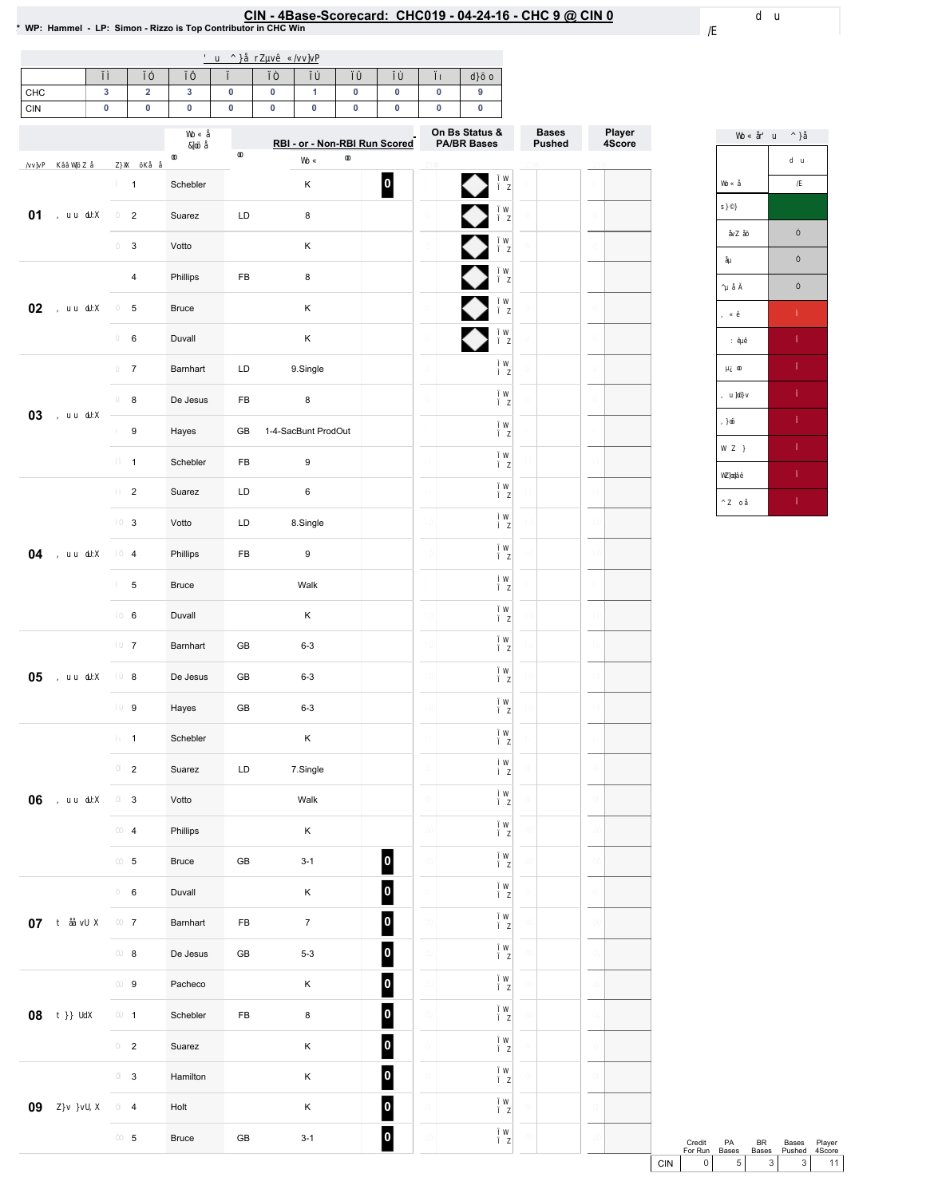### CIN - 4Base-Scorecard: CHC019 - 04-24-16 - CHC 9 @ CIN 0 لـ VP: Hammel - LP: Simon - Rizzo is Top Contributor in CHC Win

| CHC    | 3         | $\mathbf 2$               | $\mathbf 3$  | $\pmb{0}$     | 0 | $\mathbf{1}$        | $\pmb{0}$ | 0                             | $\pmb{0}$ | 9                                    |                        |                  |
|--------|-----------|---------------------------|--------------|---------------|---|---------------------|-----------|-------------------------------|-----------|--------------------------------------|------------------------|------------------|
| CIN    | $\pmb{0}$ | $\pmb{0}$                 | $\pmb{0}$    | $\pmb{0}$     | 0 | $\pmb{0}$           | $\pmb{0}$ | $\pmb{0}$                     | $\pmb{0}$ | 0                                    |                        |                  |
|        |           |                           |              |               |   |                     |           | RBI - or - Non-RBI Run Scored |           | On Bs Status &<br><b>PA/BR Bases</b> | <b>Bases</b><br>Pushed | Player<br>4Score |
|        |           | $\mathbf{1}$              | Schebler     |               |   | $\sf K$             |           | $\overline{\phantom{a}}$      |           |                                      |                        |                  |
| 01     |           | $\overline{2}$            | Suarez       | LD            |   | 8                   |           |                               |           | $\frac{1}{2}$                        |                        |                  |
|        |           | $\mathsf 3$               | Votto        |               |   | Κ                   |           |                               |           |                                      |                        |                  |
|        |           | $\overline{\mathbf{4}}$   | Phillips     | FB            |   | 8                   |           |                               |           |                                      |                        |                  |
| 02     |           | 5                         | <b>Bruce</b> |               |   | Κ                   |           |                               |           |                                      |                        |                  |
|        |           | $\,6\,$                   | Duvall       |               |   | $\sf K$             |           |                               |           | ♦                                    |                        |                  |
|        |           | $\overline{7}$            | Barnhart     | LD            |   | 9.Single            |           |                               |           |                                      |                        |                  |
| 03     |           | 8                         | De Jesus     | FB            |   | 8                   |           |                               |           |                                      |                        |                  |
|        |           | 9                         | Hayes        | GB            |   | 1-4-SacBunt ProdOut |           |                               |           |                                      |                        |                  |
|        |           | $\mathbf{1}$              | Schebler     | FB            |   | 9                   |           |                               |           |                                      |                        |                  |
|        |           | $\overline{2}$            | Suarez       | LD            |   | 6                   |           |                               |           |                                      |                        |                  |
|        |           | 3                         | Votto        | LD            |   | 8.Single            |           |                               |           |                                      |                        |                  |
| 04     |           | $\overline{4}$            | Phillips     | FB            |   | 9                   |           |                               |           |                                      |                        |                  |
|        |           | 5                         | <b>Bruce</b> |               |   | Walk                |           |                               |           |                                      |                        |                  |
|        |           | 6                         | Duvall       |               |   | Κ                   |           |                               |           |                                      |                        |                  |
|        |           | $\overline{7}$            | Barnhart     | GB            |   | $6 - 3$             |           |                               |           |                                      |                        |                  |
| 05     |           | $\bf 8$                   | De Jesus     | GB            |   | $6 - 3$             |           |                               |           |                                      |                        |                  |
|        |           | 9                         | Hayes        | GB            |   | $6 - 3$             |           |                               |           |                                      |                        |                  |
|        |           | $\mathbf{1}$              | Schebler     |               |   | Κ                   |           |                               |           |                                      |                        |                  |
|        |           | $\overline{c}$            | Suarez       | $\mathsf{LD}$ |   | 7.Single            |           |                               |           |                                      |                        |                  |
| 06     |           | $\ensuremath{\mathsf{3}}$ | Votto        |               |   | Walk                |           |                               |           |                                      |                        |                  |
|        |           | $\overline{\mathbf{4}}$   | Phillips     |               |   | $\mathsf K$         |           |                               |           |                                      |                        |                  |
|        |           | $\,$ 5 $\,$               | Bruce        | $\mathsf{GB}$ |   | $3 - 1$             |           | $\vert$ 0 $\vert$             |           |                                      |                        |                  |
|        |           | $\mathbf 6$               | Duvall       |               |   | $\mathsf K$         |           | $\vert$ 0                     |           |                                      |                        |                  |
| $07\,$ |           | $\boldsymbol{7}$          | Barnhart     | FB            |   | $\boldsymbol{7}$    |           | $\vert$ 0                     |           |                                      |                        |                  |
|        |           | $\bf8$                    | De Jesus     | GB            |   | $5 - 3$             |           | 0                             |           |                                      |                        |                  |
|        |           | $\boldsymbol{9}$          | Pacheco      |               |   | $\mathsf K$         |           | 0                             |           |                                      |                        |                  |
| 08     |           | $\mathbf{1}$              | Schebler     | FB            |   | $\bf8$              |           | 0                             |           |                                      |                        |                  |
|        |           | $\mathbf 2$               | Suarez       |               |   | $\mathsf K$         |           | 0                             |           |                                      |                        |                  |
|        |           | $\ensuremath{\mathsf{3}}$ | Hamilton     |               |   | $\mathsf K$         |           | 0                             |           |                                      |                        |                  |
| 09     |           | $\overline{\mathbf{4}}$   | Holt         |               |   | $\mathsf K$         |           | $\vert$ 0                     |           |                                      |                        |                  |
|        |           | $\,$ 5 $\,$               | <b>Bruce</b> | $\mathsf{GB}$ |   | $3-1$               |           | 0                             |           |                                      |                        |                  |

Credit PA BR Bases Player<br>
For Run Bases Bases Pushed 4Score<br>
CIN 0 5 3 3 11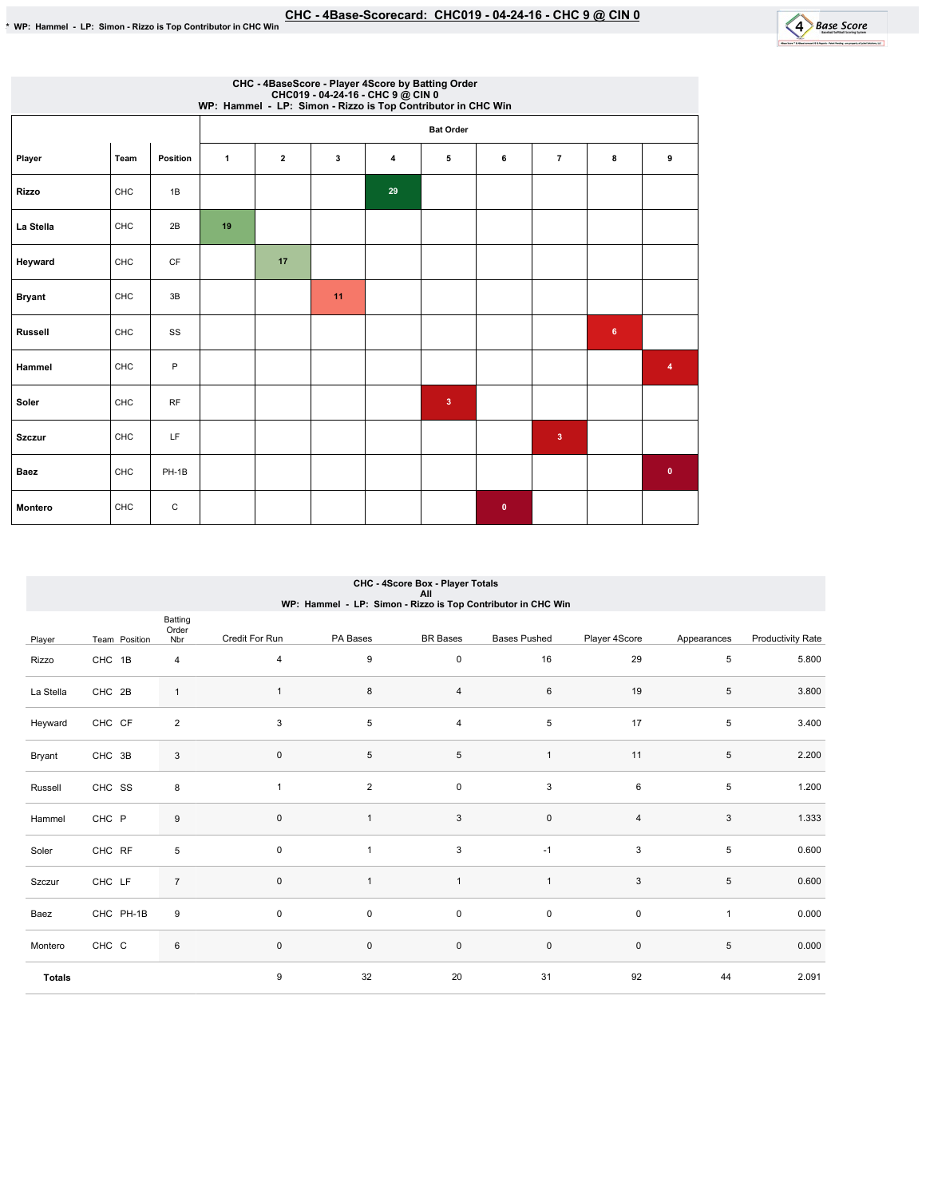

|                | CHC - 4BaseScore - Player 4Score by Batting Order<br>CHC019 - 04-24-16 - CHC 9 @ CIN 0<br>WP: Hammel - LP: Simon - Rizzo is Top Contributor in CHC Win |          |              |              |    |                |                  |           |                         |                 |           |  |  |
|----------------|--------------------------------------------------------------------------------------------------------------------------------------------------------|----------|--------------|--------------|----|----------------|------------------|-----------|-------------------------|-----------------|-----------|--|--|
|                |                                                                                                                                                        |          |              |              |    |                | <b>Bat Order</b> |           |                         |                 |           |  |  |
| Player         | Team                                                                                                                                                   | Position | $\mathbf{1}$ | $\mathbf{2}$ | 3  | $\overline{4}$ | 5                | 6         | $\overline{7}$          | 8               | 9         |  |  |
| <b>Rizzo</b>   | CHC                                                                                                                                                    | 1B       |              |              |    | 29             |                  |           |                         |                 |           |  |  |
| La Stella      | CHC                                                                                                                                                    | 2B       | 19           |              |    |                |                  |           |                         |                 |           |  |  |
| Heyward        | CHC                                                                                                                                                    | CF       |              | 17           |    |                |                  |           |                         |                 |           |  |  |
| <b>Bryant</b>  | CHC                                                                                                                                                    | 3B       |              |              | 11 |                |                  |           |                         |                 |           |  |  |
| Russell        | CHC                                                                                                                                                    | SS       |              |              |    |                |                  |           |                         | $6\phantom{.}6$ |           |  |  |
| Hammel         | CHC                                                                                                                                                    | P        |              |              |    |                |                  |           |                         |                 | 4         |  |  |
| Soler          | CHC                                                                                                                                                    | RF       |              |              |    |                | $\mathbf{3}$     |           |                         |                 |           |  |  |
| <b>Szczur</b>  | CHC                                                                                                                                                    | LF       |              |              |    |                |                  |           | $\overline{\mathbf{3}}$ |                 |           |  |  |
| Baez           | CHC                                                                                                                                                    | $PH-1B$  |              |              |    |                |                  |           |                         |                 | $\bullet$ |  |  |
| <b>Montero</b> | CHC                                                                                                                                                    | C        |              |              |    |                |                  | $\bullet$ |                         |                 |           |  |  |

# CHC-4ScoreBox-PlayerTotals All WP:Hammel-LP:Simon-RizzoisTopContributorinCHCWin

|               |               | Batting<br>Order |                |                         |                     |                     |                |              |                   |
|---------------|---------------|------------------|----------------|-------------------------|---------------------|---------------------|----------------|--------------|-------------------|
| Player        | Team Position | Nbr              | Credit For Run | PA Bases                | <b>BR Bases</b>     | <b>Bases Pushed</b> | Player 4Score  | Appearances  | Productivity Rate |
| Rizzo         | CHC 1B        | $\overline{4}$   | $\overline{4}$ | 9                       | $\mathsf{O}\xspace$ | 16                  | 29             | 5            | 5.800             |
| La Stella     | CHC 2B        | $\mathbf{1}$     | $\mathbf{1}$   | 8                       | $\overline{4}$      | 6                   | 19             | 5            | 3.800             |
| Heyward       | CHC CF        | $\overline{2}$   | 3              | 5                       | $\overline{4}$      | 5                   | 17             | 5            | 3.400             |
| Bryant        | CHC 3B        | $\mathbf{3}$     | $\mathsf 0$    | 5                       | 5                   | $\mathbf{1}$        | 11             | 5            | 2.200             |
| Russell       | CHC SS        | 8                | $\mathbf{1}$   | $\overline{\mathbf{c}}$ | $\pmb{0}$           | 3                   | 6              | 5            | 1.200             |
| Hammel        | CHC P         | 9                | $\mathsf 0$    | $\mathbf{1}$            | $\mathbf{3}$        | $\mathsf{O}\xspace$ | $\overline{4}$ | 3            | 1.333             |
| Soler         | CHC RF        | 5                | $\mathbf 0$    | 1                       | $\mathbf{3}$        | $-1$                | 3              | 5            | 0.600             |
| Szczur        | CHC LF        | $\overline{7}$   | $\mathsf 0$    | $\mathbf{1}$            | $\mathbf{1}$        | $\overline{1}$      | 3              | 5            | 0.600             |
| Baez          | CHC PH-1B     | 9                | $\mathsf 0$    | 0                       | 0                   | $\mathsf 0$         | $\mathsf 0$    | $\mathbf{1}$ | 0.000             |
| Montero       | CHC C         | 6                | $\mathsf 0$    | $\mathbf 0$             | $\mathsf 0$         | $\mathsf 0$         | $\mathsf 0$    | 5            | 0.000             |
| <b>Totals</b> |               |                  | 9              | 32                      | 20                  | 31                  | 92             | 44           | 2.091             |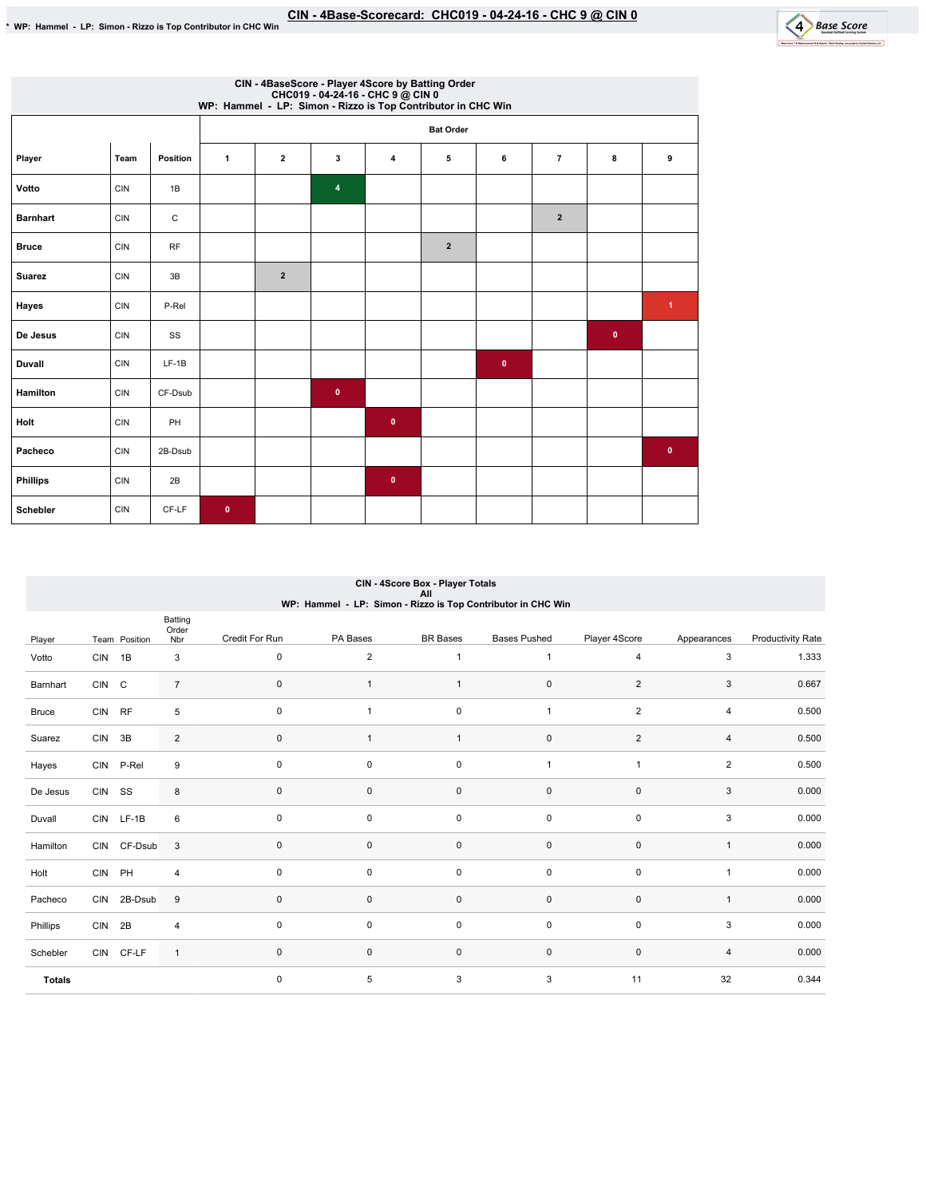

|                 | CIN - 4BaseScore - Player 4Score by Batting Order<br>CHC019 - 04-24-16 - CHC 9 @ CIN 0<br>WP: Hammel - LP: Simon - Rizzo is Top Contributor in CHC Win |             |             |                         |                         |                |                  |              |                |           |           |  |  |
|-----------------|--------------------------------------------------------------------------------------------------------------------------------------------------------|-------------|-------------|-------------------------|-------------------------|----------------|------------------|--------------|----------------|-----------|-----------|--|--|
|                 |                                                                                                                                                        |             |             |                         |                         |                | <b>Bat Order</b> |              |                |           |           |  |  |
| Player          | Team                                                                                                                                                   | Position    | 1           | $\overline{\mathbf{2}}$ | 3                       | $\overline{4}$ | 5                | 6            | $\overline{7}$ | 8         | 9         |  |  |
| Votto           | <b>CIN</b>                                                                                                                                             | 1B          |             |                         | $\overline{\mathbf{4}}$ |                |                  |              |                |           |           |  |  |
| <b>Barnhart</b> | <b>CIN</b>                                                                                                                                             | $\mathsf C$ |             |                         |                         |                |                  |              | $\overline{2}$ |           |           |  |  |
| <b>Bruce</b>    | <b>CIN</b>                                                                                                                                             | RF          |             |                         |                         |                | $\overline{2}$   |              |                |           |           |  |  |
| <b>Suarez</b>   | <b>CIN</b>                                                                                                                                             | 3B          |             | $\overline{2}$          |                         |                |                  |              |                |           |           |  |  |
| Hayes           | <b>CIN</b>                                                                                                                                             | P-Rel       |             |                         |                         |                |                  |              |                |           | 1         |  |  |
| De Jesus        | <b>CIN</b>                                                                                                                                             | SS          |             |                         |                         |                |                  |              |                | $\bullet$ |           |  |  |
| Duvall          | <b>CIN</b>                                                                                                                                             | $LF-1B$     |             |                         |                         |                |                  | $\mathbf{0}$ |                |           |           |  |  |
| Hamilton        | <b>CIN</b>                                                                                                                                             | CF-Dsub     |             |                         | $\pmb{0}$               |                |                  |              |                |           |           |  |  |
| Holt            | <b>CIN</b>                                                                                                                                             | PH          |             |                         |                         | $\pmb{0}$      |                  |              |                |           |           |  |  |
| Pacheco         | <b>CIN</b>                                                                                                                                             | 2B-Dsub     |             |                         |                         |                |                  |              |                |           | $\bullet$ |  |  |
| <b>Phillips</b> | <b>CIN</b>                                                                                                                                             | 2B          |             |                         |                         | $\pmb{0}$      |                  |              |                |           |           |  |  |
| Schebler        | <b>CIN</b>                                                                                                                                             | CF-LF       | $\mathbf 0$ |                         |                         |                |                  |              |                |           |           |  |  |

## CIN-4ScoreBox-PlayerTotals All WP:Hammel-LP:Simon-RizzoisTopContributorinCHCWin

|               |            |               | Batting<br>Order |                |                |                 |                     |                |                |                          |
|---------------|------------|---------------|------------------|----------------|----------------|-----------------|---------------------|----------------|----------------|--------------------------|
| Player        |            | Team Position | Nbr              | Credit For Run | PA Bases       | <b>BR</b> Bases | <b>Bases Pushed</b> | Player 4Score  | Appearances    | <b>Productivity Rate</b> |
| Votto         | CIN 1B     |               | 3                | $\mathsf 0$    | $\overline{2}$ | $\mathbf{1}$    | $\mathbf{1}$        | $\overline{4}$ | 3              | 1.333                    |
| Barnhart      | CIN C      |               | $\overline{7}$   | $\mathbf 0$    |                |                 | 0                   | $\sqrt{2}$     | 3              | 0.667                    |
| <b>Bruce</b>  | CIN RF     |               | 5                | $\mathbf 0$    | $\overline{1}$ | $\pmb{0}$       | $\overline{1}$      | $\overline{2}$ | 4              | 0.500                    |
| Suarez        | CIN 3B     |               | $\overline{2}$   | $\mathbf 0$    | $\mathbf{1}$   | $\mathbf{1}$    | 0                   | $\overline{2}$ | $\overline{4}$ | 0.500                    |
| Hayes         |            | CIN P-Rel     | 9                | $\mathsf 0$    | 0              | $\pmb{0}$       | $\overline{1}$      | $\overline{1}$ | $\overline{2}$ | 0.500                    |
| De Jesus      | CIN SS     |               | 8                | $\mathbf 0$    | 0              | $\pmb{0}$       | 0                   | $\mathbf 0$    | 3              | 0.000                    |
| Duvall        |            | CIN LF-1B     | 6                | $\mathbf 0$    | 0              | $\pmb{0}$       | $\mathbf 0$         | $\mathbf 0$    | 3              | 0.000                    |
| Hamilton      |            | CIN CF-Dsub   | 3                | $\mathbf 0$    | $\mathbf 0$    | $\pmb{0}$       | $\mathsf{O}\xspace$ | $\mathsf 0$    | $\mathbf{1}$   | 0.000                    |
| Holt          | CIN PH     |               | 4                | $\mathbf 0$    | 0              | $\pmb{0}$       | $\mathbf 0$         | $\mathbf 0$    | 1              | 0.000                    |
| Pacheco       |            | CIN 2B-Dsub   | 9                | $\mathbf 0$    | 0              | $\pmb{0}$       | 0                   | $\mathbf 0$    | $\mathbf{1}$   | 0.000                    |
| Phillips      | <b>CIN</b> | 2B            | $\overline{4}$   | $\mathsf 0$    | 0              | $\pmb{0}$       | $\mathbf 0$         | $\mathsf 0$    | 3              | 0.000                    |
| Schebler      |            | CIN CF-LF     | $\mathbf{1}$     | $\mathbf 0$    | 0              | $\pmb{0}$       | $\mathsf{O}\xspace$ | $\mathsf 0$    | 4              | 0.000                    |
| <b>Totals</b> |            |               |                  | $\mathbf 0$    | 5              | 3               | 3                   | 11             | 32             | 0.344                    |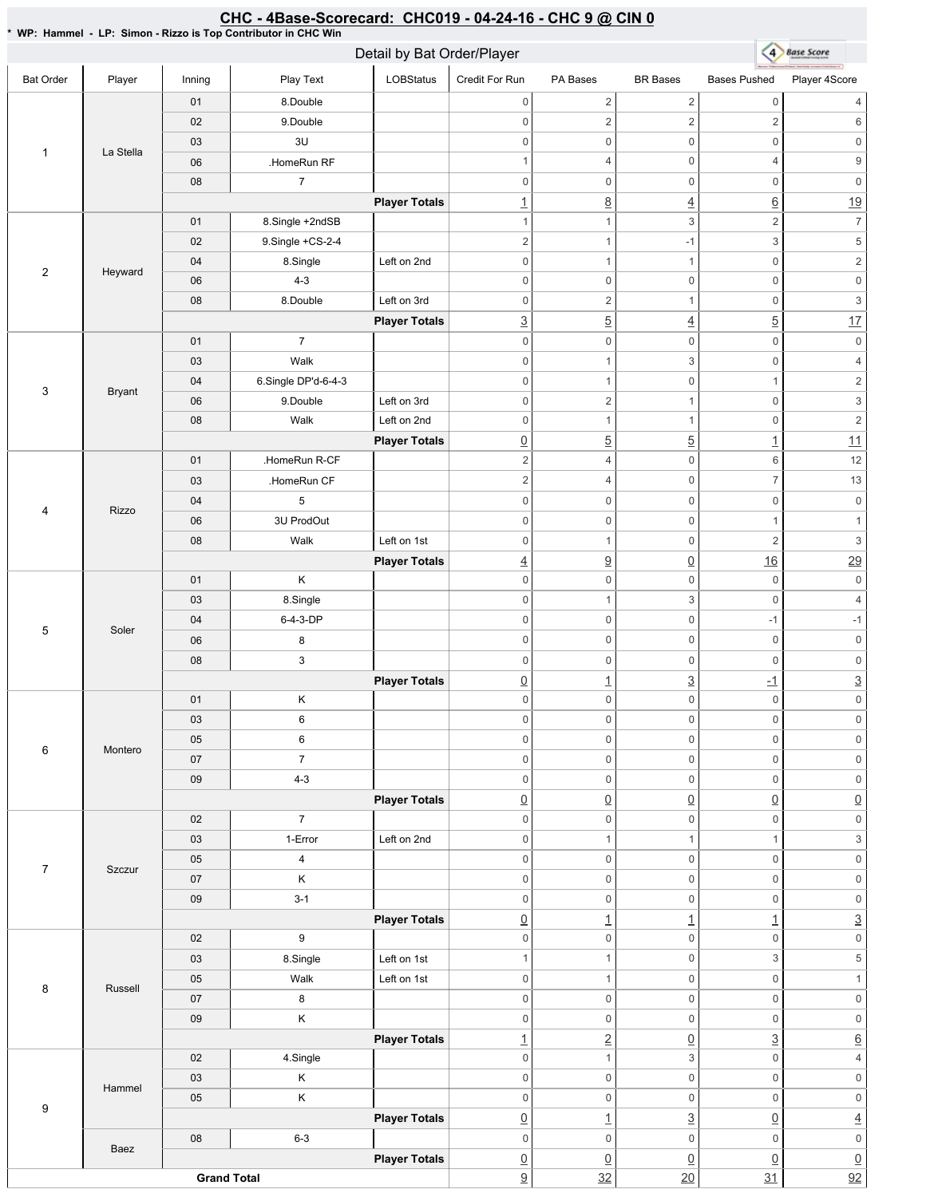#### \* WP: Hammel - LP: Simon - Rizzo is Top Contributor in CHC Win 4 Base Score Detail by Bat Order/Player Bat Order | Player | Inning | PlayText | LOBStatus Credit For Run PA Bases BR Bases Bases Pushed Player 4Score 01 8.Double  $0 \qquad \qquad 2 \qquad \qquad 2 \qquad \qquad 0 \qquad \qquad 4$ 02 9.Double 0 2  $2$  2 6 03 3U 0 0 0 0 0 0 1 La Stella 06 **HomeRun RF** 1 4 0 4 9 08 7 0 0 0 0 0 0 **Player Totals**  $\frac{1}{1}$  8  $\frac{4}{1}$  6  $\frac{19}{1}$ 01 8.Single +2ndSB 1 1 3 2 7 02 9.Single +CS-2-4 2  $1$  -1 3 5 04 8.Single Left on 2nd 0 1 1 0 2 2 Heyward 06 4-3 0 0 0 0 0 0 08 8.Double Left on 3rd 0 2 1 0 3 **Player Totals**  $\frac{3}{2}$  5  $\frac{4}{2}$  5  $\frac{17}{2}$ 01 7 0 0 0 0 0 0 03 Walk 0 1 3 0 4 04 6.Single DP'd-6-4-3 0 1 0 1 2 3 Bryant 06 9.Double Left on 3rd 0 2 1 0 3 08 | Walk Left on 2nd 0 1 1 0 2 **Player Totals**  $\boxed{0}$  5 5 1 1 01 .HomeRun R-CF 2 4 0 6 12 03 **HomeRun CF** 2 4 0 7 13 04 5 0 0 0 0 0 0 4 Rizzo 06 3U ProdOut  $0 \qquad 0 \qquad 0 \qquad 1 \qquad 1$ 08 | Walk Left on 1st 0 1 0 2 3 **Player Totals**  $\frac{4}{9}$   $\frac{0}{16}$   $\frac{16}{29}$ 01 K 0 0 0 0 0 0 03 8.Single 0 1 3 0 4 04 6-4-3-DP 0 0 -1 -1 5 | Soler 0 0 0 0 0 0 06 8 08 3 0 0 0 0 0 0 **Player Totals**  $\boxed{0}$   $\boxed{1}$   $\boxed{3}$   $\boxed{1}$   $\boxed{3}$ 01 K 0 0 0 0 0 0 03 6 0 0 0 0 0 0 05 6 0 0 0 0 0 0 6 Montero 07 7 0 0 0 0 0 0 09 4-3 0 0 0 0 0 0 **Player Totals**  $\overline{0}$   $\overline{0}$   $\overline{0}$   $\overline{0}$   $\overline{0}$   $\overline{0}$   $\overline{0}$ 02 7 0 0 0 0 0 0 03 1-Error Left on 2nd 0 1 1 1  $1$  3 05 4 0 0 0 0 0 0 7 | Szczur 07 K 0 0 0 0 0 0 09 3-1 0 0 0 0 0 0 **Player Totals**  $\boxed{0}$  1  $\boxed{1}$   $\boxed{1}$   $\boxed{3}$ 02 9 0 0 0 0 0 0 03 | 8.Single | Left on 1st 1 1 0 3 5 05 | Walk Left on 1st 0 0 1 0 1 8 | Russell 07 8 0 0 0 0 0 0 09 K 0 0 0 0 0 0 **Player Totals** 1 2 0 3 6 02 | 4.Single 0 1 3 0 4 03 K 0 0 0 0 0 0 Hammel 05 K 0 0 0 0 0 0 9 **Player Totals** 0 1 3 0 4 08 6-3 0 0 0 0 0 0 Baez **Player Totals**  $\overline{0}$   $\overline{0}$   $\overline{0}$   $\overline{0}$   $\overline{0}$   $\overline{0}$   $\overline{0}$ **Grand Total**  $\frac{9}{2}$  32 20 31 92

CHC - 4Base-Scorecard: CHC019 - 04-24-16 - CHC 9 @ CIN 0